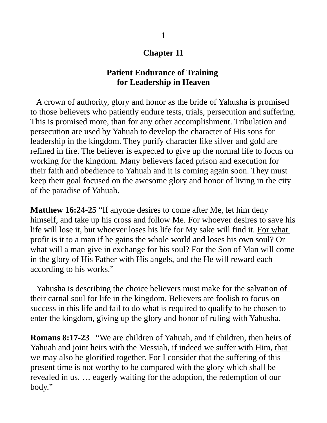## **Chapter 11**

## **Patient Endurance of Training for Leadership in Heaven**

 A crown of authority, glory and honor as the bride of Yahusha is promised to those believers who patiently endure tests, trials, persecution and suffering. This is promised more, than for any other accomplishment. Tribulation and persecution are used by Yahuah to develop the character of His sons for leadership in the kingdom. They purify character like silver and gold are refined in fire. The believer is expected to give up the normal life to focus on working for the kingdom. Many believers faced prison and execution for their faith and obedience to Yahuah and it is coming again soon. They must keep their goal focused on the awesome glory and honor of living in the city of the paradise of Yahuah.

**Matthew 16:24-25** "If anyone desires to come after Me, let him deny himself, and take up his cross and follow Me. For whoever desires to save his life will lose it, but whoever loses his life for My sake will find it. For what profit is it to a man if he gains the whole world and loses his own soul? Or what will a man give in exchange for his soul? For the Son of Man will come in the glory of His Father with His angels, and the He will reward each according to his works."

 Yahusha is describing the choice believers must make for the salvation of their carnal soul for life in the kingdom. Believers are foolish to focus on success in this life and fail to do what is required to qualify to be chosen to enter the kingdom, giving up the glory and honor of ruling with Yahusha.

**Romans 8:17-23** "We are children of Yahuah, and if children, then heirs of Yahuah and joint heirs with the Messiah, if indeed we suffer with Him, that we may also be glorified together. For I consider that the suffering of this present time is not worthy to be compared with the glory which shall be revealed in us. … eagerly waiting for the adoption, the redemption of our body."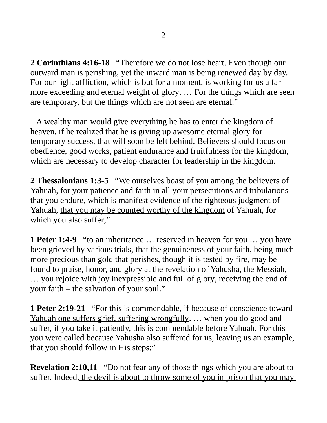**2 Corinthians 4:16-18** "Therefore we do not lose heart. Even though our outward man is perishing, yet the inward man is being renewed day by day. For our light affliction, which is but for a moment, is working for us a far more exceeding and eternal weight of glory. ... For the things which are seen are temporary, but the things which are not seen are eternal."

 A wealthy man would give everything he has to enter the kingdom of heaven, if he realized that he is giving up awesome eternal glory for temporary success, that will soon be left behind. Believers should focus on obedience, good works, patient endurance and fruitfulness for the kingdom, which are necessary to develop character for leadership in the kingdom.

**2 Thessalonians 1:3-5** "We ourselves boast of you among the believers of Yahuah, for your patience and faith in all your persecutions and tribulations that you endure, which is manifest evidence of the righteous judgment of Yahuah, that you may be counted worthy of the kingdom of Yahuah, for which you also suffer;"

**1 Peter 1:4-9** "to an inheritance … reserved in heaven for you … you have been grieved by various trials, that the genuineness of your faith, being much more precious than gold that perishes, though it is tested by fire, may be found to praise, honor, and glory at the revelation of Yahusha, the Messiah, … you rejoice with joy inexpressible and full of glory, receiving the end of your faith – the salvation of your soul."

**1 Peter 2:19-21** "For this is commendable, if because of conscience toward Yahuah one suffers grief, suffering wrongfully. … when you do good and suffer, if you take it patiently, this is commendable before Yahuah. For this you were called because Yahusha also suffered for us, leaving us an example, that you should follow in His steps;"

**Revelation 2:10,11** "Do not fear any of those things which you are about to suffer. Indeed, the devil is about to throw some of you in prison that you may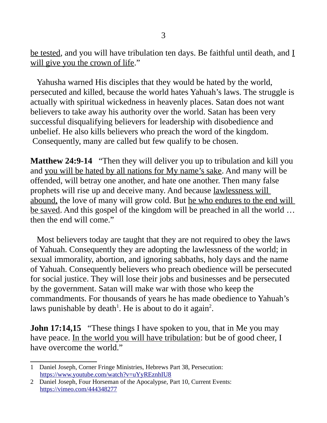be tested, and you will have tribulation ten days. Be faithful until death, and  $I$ will give you the crown of life."

 Yahusha warned His disciples that they would be hated by the world, persecuted and killed, because the world hates Yahuah's laws. The struggle is actually with spiritual wickedness in heavenly places. Satan does not want believers to take away his authority over the world. Satan has been very successful disqualifying believers for leadership with disobedience and unbelief. He also kills believers who preach the word of the kingdom. Consequently, many are called but few qualify to be chosen.

**Matthew 24:9-14** "Then they will deliver you up to tribulation and kill you and you will be hated by all nations for My name's sake. And many will be offended, will betray one another, and hate one another. Then many false prophets will rise up and deceive many. And because lawlessness will abound, the love of many will grow cold. But he who endures to the end will be saved. And this gospel of the kingdom will be preached in all the world … then the end will come."

 Most believers today are taught that they are not required to obey the laws of Yahuah. Consequently they are adopting the lawlessness of the world; in sexual immorality, abortion, and ignoring sabbaths, holy days and the name of Yahuah. Consequently believers who preach obedience will be persecuted for social justice. They will lose their jobs and businesses and be persecuted by the government. Satan will make war with those who keep the commandments. For thousands of years he has made obedience to Yahuah's laws punishable by death<sup>[1](#page-2-0)</sup>. He is about to do it again<sup>[2](#page-2-1)</sup>.

**John 17:14,15** "These things I have spoken to you, that in Me you may have peace. In the world you will have tribulation: but be of good cheer, I have overcome the world."

<span id="page-2-0"></span><sup>1</sup> Daniel Joseph, Corner Fringe Ministries, Hebrews Part 38, Persecution: <https://www.youtube.com/watch?v=uYyREznhIU8>

<span id="page-2-1"></span><sup>2</sup> Daniel Joseph, Four Horseman of the Apocalypse, Part 10, Current Events: <https://vimeo.com/444348277>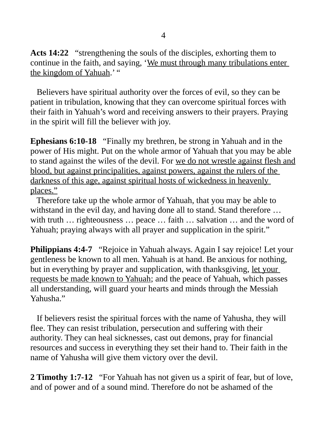**Acts 14:22** "strengthening the souls of the disciples, exhorting them to continue in the faith, and saying, 'We must through many tribulations enter the kingdom of Yahuah.' "

 Believers have spiritual authority over the forces of evil, so they can be patient in tribulation, knowing that they can overcome spiritual forces with their faith in Yahuah's word and receiving answers to their prayers. Praying in the spirit will fill the believer with joy.

**Ephesians 6:10-18** "Finally my brethren, be strong in Yahuah and in the power of His might. Put on the whole armor of Yahuah that you may be able to stand against the wiles of the devil. For we do not wrestle against flesh and blood, but against principalities, against powers, against the rulers of the darkness of this age, against spiritual hosts of wickedness in heavenly places."

 Therefore take up the whole armor of Yahuah, that you may be able to withstand in the evil day, and having done all to stand. Stand therefore ... with truth ... righteousness ... peace ... faith ... salvation ... and the word of Yahuah; praying always with all prayer and supplication in the spirit."

**Philippians 4:4-7** "Rejoice in Yahuah always. Again I say rejoice! Let your gentleness be known to all men. Yahuah is at hand. Be anxious for nothing, but in everything by prayer and supplication, with thanksgiving, let your requests be made known to Yahuah; and the peace of Yahuah, which passes all understanding, will guard your hearts and minds through the Messiah Yahusha."

 If believers resist the spiritual forces with the name of Yahusha, they will flee. They can resist tribulation, persecution and suffering with their authority. They can heal sicknesses, cast out demons, pray for financial resources and success in everything they set their hand to. Their faith in the name of Yahusha will give them victory over the devil.

**2 Timothy 1:7-12** "For Yahuah has not given us a spirit of fear, but of love, and of power and of a sound mind. Therefore do not be ashamed of the